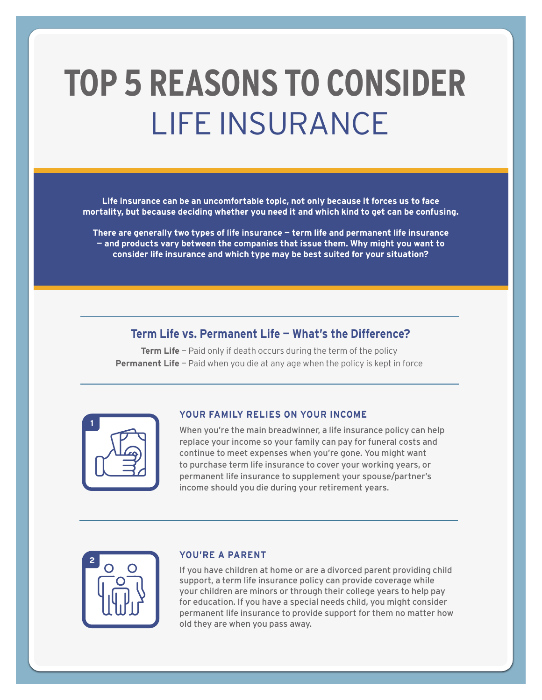# **TOP 5 REASONS TO CONSIDER**  LIFE INSURANCE

**Life insurance can be an uncomfortable topic, not only because it forces us to face mortality, but because deciding whether you need it and which kind to get can be confusing.**

**There are generally two types of life insurance — term life and permanent life insurance — and products vary between the companies that issue them. Why might you want to consider life insurance and which type may be best suited for your situation?**

# **Term Life vs. Permanent Life — What's the Difference?**

**Term Life** – Paid only if death occurs during the term of the policy **Permanent Life** – Paid when you die at any age when the policy is kept in force

| <u>دم</u> |  |
|-----------|--|
|           |  |
|           |  |

#### **YOUR FAMILY RELIES ON YOUR INCOME**

When you're the main breadwinner, a life insurance policy can help replace your income so your family can pay for funeral costs and continue to meet expenses when you're gone. You might want to purchase term life insurance to cover your working years, or permanent life insurance to supplement your spouse/partner's income should you die during your retirement years.

| Ģ |    |   |  |
|---|----|---|--|
|   |    |   |  |
|   | I۶ | f |  |
|   |    |   |  |

#### **YOU'RE A PARENT**

If you have children at home or are a divorced parent providing child support, a term life insurance policy can provide coverage while your children are minors or through their college years to help pay for education. If you have a special needs child, you might consider permanent life insurance to provide support for them no matter how old they are when you pass away.